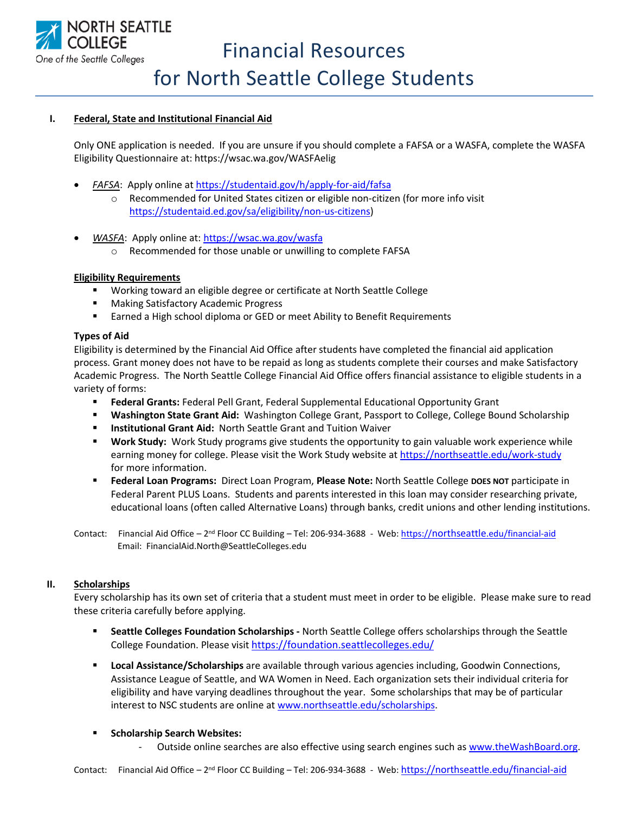

# **I. Federal, State and Institutional Financial Aid**

Only ONE application is needed. If you are unsure if you should complete a FAFSA or a WASFA, complete the WASFA Eligibility Questionnaire at: https://wsac.wa.gov/WASFAelig

- *FAFSA*: Apply online a[t https://studentaid.gov/h/apply-for-aid/fafsa](https://studentaid.gov/h/apply-for-aid/fafsa) o Recommended for United States citizen or eligible non-citizen (for more info visit [https://studentaid.ed.gov/sa/eligibility/non-us-citizens\)](https://studentaid.ed.gov/sa/eligibility/non-us-citizens)
- *WASFA*: Apply online at:<https://wsac.wa.gov/wasfa>
	- o Recommended for those unable or unwilling to complete FAFSA

### **Eligibility Requirements**

- Working toward an eligible degree or certificate at North Seattle College
- Making Satisfactory Academic Progress
- Earned a High school diploma or GED or meet Ability to Benefit Requirements

### **Types of Aid**

Eligibility is determined by the Financial Aid Office after students have completed the financial aid application process. Grant money does not have to be repaid as long as students complete their courses and make Satisfactory Academic Progress. The North Seattle College Financial Aid Office offers financial assistance to eligible students in a variety of forms:

- **Federal Grants:** Federal Pell Grant, Federal Supplemental Educational Opportunity Grant
- **Washington State Grant Aid:** Washington College Grant, Passport to College, College Bound Scholarship
- **Institutional Grant Aid: North Seattle Grant and Tuition Waiver**
- **EXECT Work Study:** Work Study programs give students the opportunity to gain valuable work experience while earning money for college. Please visit the Work Study website a[t https://northseattle.edu/work-study](https://northseattle.edu/work-study) for more information.
- **Federal Loan Programs:** Direct Loan Program, **Please Note:** North Seattle College **DOES NOT** participate in Federal Parent PLUS Loans. Students and parents interested in this loan may consider researching private, educational loans (often called Alternative Loans) through banks, credit unions and other lending institutions.
- Contact: Financial Aid Office 2<sup>nd</sup> Floor CC Building Tel: 206-934-3688 Web: *https://northseattle[.edu/financial-aid](https://northseattle.edu/financial-aid)* Email: FinancialAid.North@SeattleColleges.edu

### **II. Scholarships**

Every scholarship has its own set of criteria that a student must meet in order to be eligible. Please make sure to read these criteria carefully before applying.

- **Seattle Colleges Foundation Scholarships -** North Seattle College offers scholarships through the Seattle College Foundation. Please visit <https://foundation.seattlecolleges.edu/>
- **Local Assistance/Scholarships** are available through various agencies including, Goodwin Connections, Assistance League of Seattle, and WA Women in Need. Each organization sets their individual criteria for eligibility and have varying deadlines throughout the year. Some scholarships that may be of particular interest to NSC students are online at [www.northseattle.edu/scholarships.](http://www.northseattle.edu/scholarships)

### ▪ **Scholarship Search Websites:**

Outside online searches are also effective using search engines such a[s www.theWashBoard.org.](http://www.thewashboard.org/)